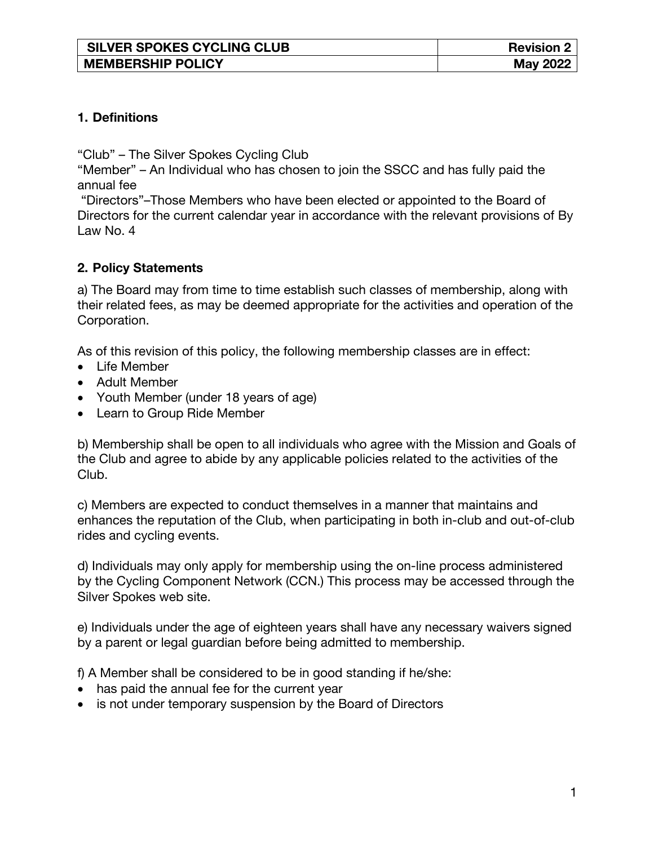| <b>SILVER SPOKES CYCLING CLUB</b> | <b>Revision 2</b> |
|-----------------------------------|-------------------|
| <b>MEMBERSHIP POLICY</b>          | <b>May 2022</b>   |

## **1. Definitions**

"Club" – The Silver Spokes Cycling Club

"Member" – An Individual who has chosen to join the SSCC and has fully paid the annual fee

"Directors"–Those Members who have been elected or appointed to the Board of Directors for the current calendar year in accordance with the relevant provisions of By Law No. 4

## **2. Policy Statements**

a) The Board may from time to time establish such classes of membership, along with their related fees, as may be deemed appropriate for the activities and operation of the Corporation.

As of this revision of this policy, the following membership classes are in effect:

- Life Member
- Adult Member
- Youth Member (under 18 years of age)
- Learn to Group Ride Member

b) Membership shall be open to all individuals who agree with the Mission and Goals of the Club and agree to abide by any applicable policies related to the activities of the Club.

c) Members are expected to conduct themselves in a manner that maintains and enhances the reputation of the Club, when participating in both in-club and out-of-club rides and cycling events.

d) Individuals may only apply for membership using the on-line process administered by the Cycling Component Network (CCN.) This process may be accessed through the Silver Spokes web site.

e) Individuals under the age of eighteen years shall have any necessary waivers signed by a parent or legal guardian before being admitted to membership.

f) A Member shall be considered to be in good standing if he/she:

- has paid the annual fee for the current year
- is not under temporary suspension by the Board of Directors